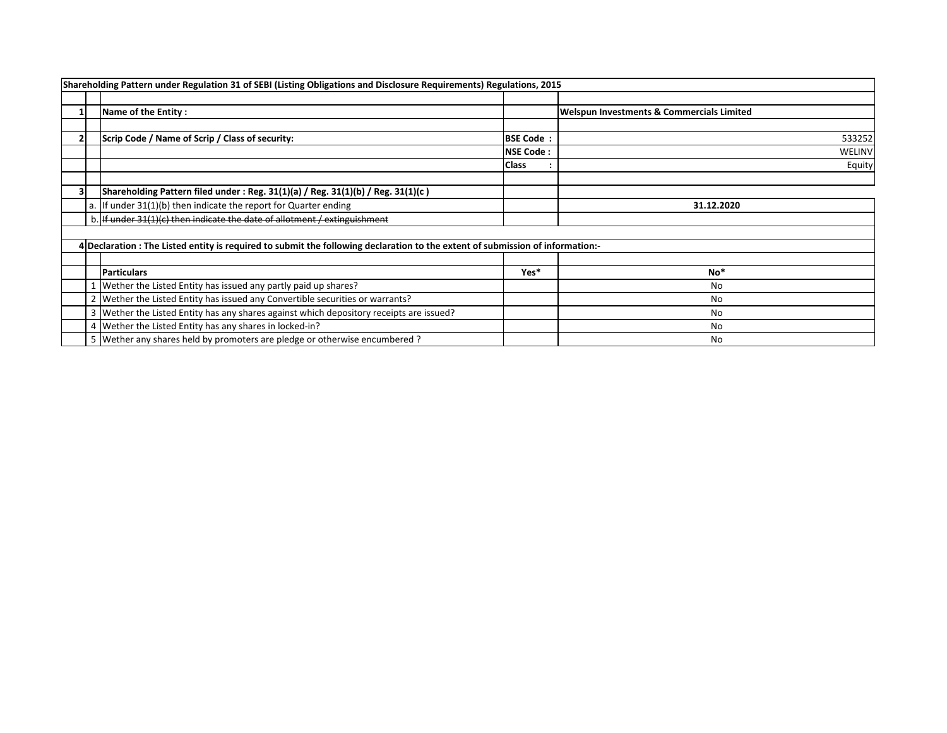|  | Shareholding Pattern under Regulation 31 of SEBI (Listing Obligations and Disclosure Requirements) Regulations, 2015           |                  |                                                      |
|--|--------------------------------------------------------------------------------------------------------------------------------|------------------|------------------------------------------------------|
|  |                                                                                                                                |                  |                                                      |
|  | Name of the Entity:                                                                                                            |                  | <b>Welspun Investments &amp; Commercials Limited</b> |
|  |                                                                                                                                |                  |                                                      |
|  | Scrip Code / Name of Scrip / Class of security:                                                                                | <b>BSE Code:</b> | 533252                                               |
|  |                                                                                                                                | <b>NSE Code:</b> | WELINV                                               |
|  |                                                                                                                                | Class            | Equity                                               |
|  |                                                                                                                                |                  |                                                      |
|  | Shareholding Pattern filed under : Reg. $31(1)(a)$ / Reg. $31(1)(b)$ / Reg. $31(1)(c)$                                         |                  |                                                      |
|  | a. If under $31(1)(b)$ then indicate the report for Quarter ending                                                             |                  | 31.12.2020                                           |
|  | b. If under 31(1)(c) then indicate the date of allotment / extinguishment                                                      |                  |                                                      |
|  |                                                                                                                                |                  |                                                      |
|  | 4 Declaration : The Listed entity is required to submit the following declaration to the extent of submission of information:- |                  |                                                      |
|  |                                                                                                                                |                  |                                                      |
|  | <b>Particulars</b>                                                                                                             | Yes*             | $No*$                                                |
|  | Wether the Listed Entity has issued any partly paid up shares?                                                                 |                  | No                                                   |
|  | 2   Wether the Listed Entity has issued any Convertible securities or warrants?                                                |                  | No                                                   |
|  | 3   Wether the Listed Entity has any shares against which depository receipts are issued?                                      |                  | No.                                                  |
|  | 4 Wether the Listed Entity has any shares in locked-in?                                                                        |                  | No                                                   |
|  | 5 Wether any shares held by promoters are pledge or otherwise encumbered?                                                      |                  | No                                                   |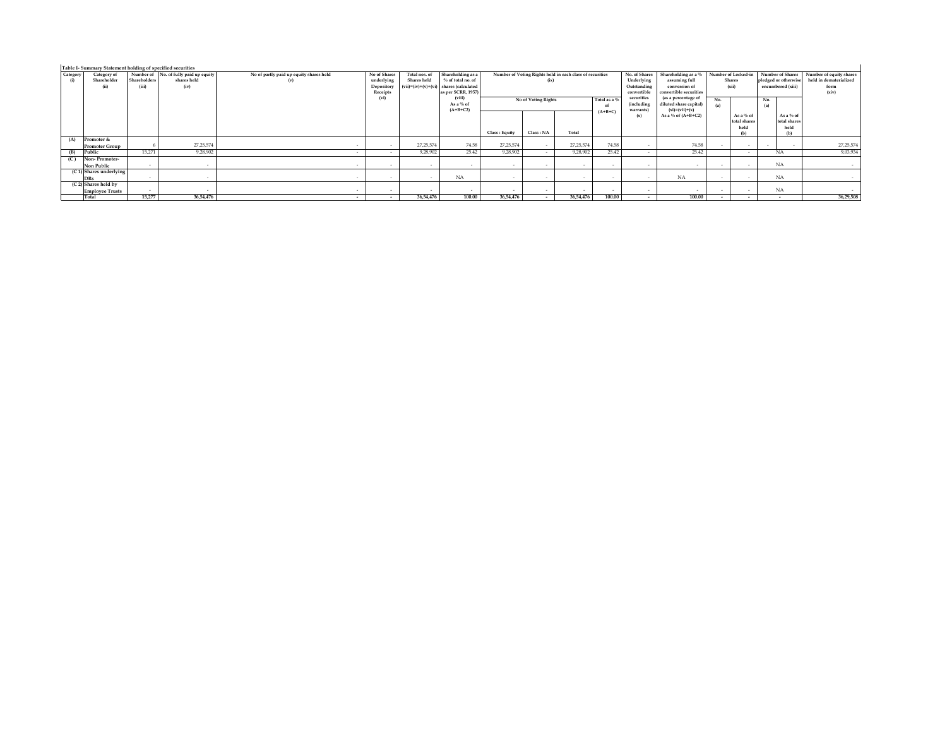|                 | Table I- Summary Statement holding of specified securities |                              |                                                              |                                                           |                                                      |                              |                                                                                                          |                                                                  |                                                         |             |                                                           |                                                                                                     |                                       |                        |                                                                   |                                                                    |             |            |  |
|-----------------|------------------------------------------------------------|------------------------------|--------------------------------------------------------------|-----------------------------------------------------------|------------------------------------------------------|------------------------------|----------------------------------------------------------------------------------------------------------|------------------------------------------------------------------|---------------------------------------------------------|-------------|-----------------------------------------------------------|-----------------------------------------------------------------------------------------------------|---------------------------------------|------------------------|-------------------------------------------------------------------|--------------------------------------------------------------------|-------------|------------|--|
| Category<br>(i) | Category of<br>Shareholder<br>(ii)                         | <b>Shareholders</b><br>(iii) | Number of No. of fully paid up equity<br>shares held<br>(iv) | No of partly paid up equity shares held<br>$(\mathbf{v})$ | No of Shares<br>underlying<br>Depository<br>Receipts | Total nos. of<br>Shares held | Shareholding as a<br>% of total no, of<br>$(vii)=(iv)+(v)+(vi)$ shares (calculated<br>as per SCRR, 1957) | Number of Voting Rights held in each class of securities<br>(ix) |                                                         |             | No. of Shares<br>Underlying<br>Outstanding<br>convertible | Shareholding as a % Number of Locked-in<br>assuming full<br>conversion of<br>convertible securities |                                       | <b>Shares</b><br>(xii) | Number of Shares<br>pledged or otherwise<br>encumbered (xiii)     | Number of equity shares<br>held in dematerialized<br>form<br>(xiv) |             |            |  |
|                 |                                                            |                              |                                                              |                                                           | (vi)                                                 |                              | (viii)<br>As a % of<br>$(A+B+C2)$                                                                        |                                                                  | No of Voting Rights<br>Total as a 9<br>-ol<br>$(A+B+C)$ |             |                                                           |                                                                                                     | securities<br>(including<br>warrants) |                        | (as a percentage of<br>diluted share capital)<br>$(xi)=(vii)+(x)$ | No.<br>(a)                                                         |             | No.<br>(a) |  |
|                 |                                                            |                              |                                                              |                                                           |                                                      |                              |                                                                                                          |                                                                  |                                                         |             |                                                           | (x)                                                                                                 | As a % of $(A+B+C2)$                  |                        | As a % of<br>total shares<br>held                                 | As a % of<br>total shares<br>held                                  |             |            |  |
|                 |                                                            |                              |                                                              |                                                           |                                                      |                              |                                                                                                          | Class : Equity                                                   | Class: NA                                               | Total       |                                                           |                                                                                                     |                                       |                        |                                                                   | (b)                                                                |             |            |  |
| (A)             | Promoter &                                                 |                              |                                                              |                                                           |                                                      |                              |                                                                                                          |                                                                  |                                                         |             |                                                           |                                                                                                     |                                       |                        |                                                                   |                                                                    |             |            |  |
|                 | <b>Promoter Group</b>                                      |                              | 27, 25, 574                                                  |                                                           | $\sim$<br>$\overline{\phantom{a}}$                   | 27, 25, 574                  | 74.58                                                                                                    | 27, 25, 574                                                      | $\sim$                                                  | 27, 25, 574 | 74.58                                                     | $\sim$                                                                                              | 74.58                                 |                        | $\sim$                                                            | . .                                                                | 27, 25, 574 |            |  |
|                 | Public                                                     | 15.271                       | 9,28,902                                                     |                                                           | $\sim$<br>$\sim$                                     | 9.28.902                     | 25.42                                                                                                    | 9.28.902                                                         |                                                         | 9,28,902    | 25.42                                                     | $\sim$                                                                                              | 25.42                                 |                        | $\sim$                                                            | <b>NA</b>                                                          | 9,03,934    |            |  |
|                 | Non-Promoter-<br>Non Public                                | $\sim$                       |                                                              |                                                           | $\sim$<br>$\sim$                                     | $\sim$                       | $\sim$                                                                                                   |                                                                  |                                                         | $\sim$      | . .                                                       | $\sim$                                                                                              |                                       |                        | $\sim$                                                            | <b>NA</b>                                                          |             |            |  |
|                 | (C 1) Shares underlying<br><b>DRs</b>                      | $\sim$                       |                                                              |                                                           | $\sim$                                               |                              | NA                                                                                                       |                                                                  | $\sim$                                                  |             | . .                                                       |                                                                                                     | <b>NA</b>                             |                        | $\sim$                                                            | NA                                                                 |             |            |  |
|                 | $(C2)$ Shares held by<br><b>Employee Trusts</b>            | . .                          |                                                              |                                                           | $\sim$                                               |                              | $\overline{\phantom{a}}$                                                                                 |                                                                  |                                                         |             |                                                           | $\sim$                                                                                              |                                       |                        | $\sim$                                                            | <b>NA</b>                                                          |             |            |  |
|                 | Total                                                      | 15,277                       | 36.54.476                                                    |                                                           | $\sim$<br>$\sim$                                     | 36,54,476                    | 100.00                                                                                                   | 36.54.476                                                        |                                                         | 36.54.476   | 100.00                                                    | $\sim$                                                                                              | 100.00                                |                        | $\overline{\phantom{a}}$                                          |                                                                    | 36.29.508   |            |  |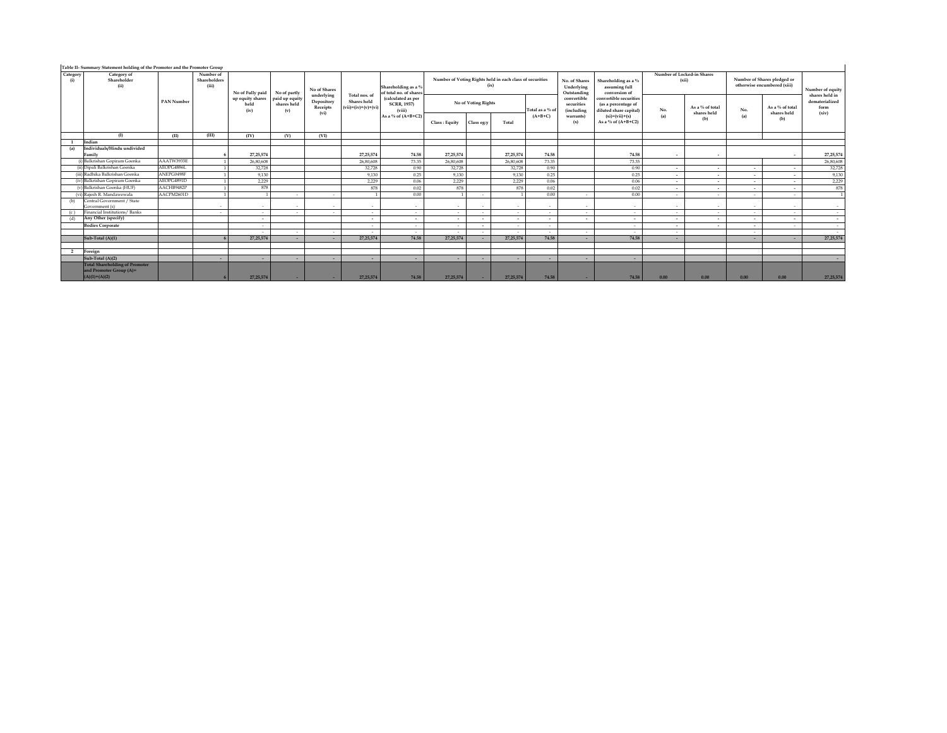| Category<br>(i) | Category of<br>Shareholder<br>(ii)                                                  | <b>PAN Number</b> | Number of<br>Shareholders<br>(iii) | No of Fully paid                 | No of partly                         | No of Shares                                 |                                                       | Shareholding as a %<br>of total no, of shares      | Number of Voting Rights held in each class of securities<br>(ix) |            |           |                          | No. of Shares<br>Underlying<br>Outstanding     | Shareholding as a %<br>assuming full<br>conversion of                   | Number of Locked-in Shares<br>(xii) |                                | Number of Shares pledged or<br>otherwise encumbered (xiii) |                                | Number of equity                                  |
|-----------------|-------------------------------------------------------------------------------------|-------------------|------------------------------------|----------------------------------|--------------------------------------|----------------------------------------------|-------------------------------------------------------|----------------------------------------------------|------------------------------------------------------------------|------------|-----------|--------------------------|------------------------------------------------|-------------------------------------------------------------------------|-------------------------------------|--------------------------------|------------------------------------------------------------|--------------------------------|---------------------------------------------------|
|                 |                                                                                     |                   |                                    | up equity shares<br>held<br>(iv) | paid up equity<br>shares held<br>(v) | underlying<br>Depository<br>Receipts<br>(vi) | Total nos, of<br>Shares held<br>$(vii)=(iv)+(v)+(vi)$ | (calculated as per<br><b>SCRR, 1957)</b><br>(viii) | No of Voting Rights                                              |            |           | Total as a % of          | convertible<br>securities<br><i>(including</i> | convertible securities<br>(as a percentage of<br>diluted share capital) | No.                                 | As a % of total<br>shares held | No.                                                        | As a % of total<br>shares held | shares held in<br>dematerialized<br>form<br>(xiv) |
|                 |                                                                                     |                   |                                    |                                  |                                      |                                              |                                                       | As a % of $(A+B+C2)$                               | Class: Equity                                                    | Class eg:y | Total     | $(A+B+C)$                | warrants)<br>(x)                               | $(xi)=(vii)+(x)$<br>As a % of $(A+B+C2)$                                | (a)                                 | (b)                            | (a)                                                        | (b)                            |                                                   |
|                 | (1)                                                                                 | (II)              | (III)                              | (IV)                             | (V)                                  | (VI)                                         |                                                       |                                                    |                                                                  |            |           |                          |                                                |                                                                         |                                     |                                |                                                            |                                |                                                   |
|                 | Indian                                                                              |                   |                                    |                                  |                                      |                                              |                                                       |                                                    |                                                                  |            |           |                          |                                                |                                                                         |                                     |                                |                                                            |                                |                                                   |
| (a)             | Individuals/Hindu undivided<br>Family                                               |                   |                                    | 27, 25, 574                      |                                      |                                              | 27, 25, 574                                           | 74.58                                              | 27.25.574                                                        |            | 27.25.574 | 74.58                    |                                                | 74.58                                                                   |                                     |                                |                                                            |                                | 27, 25, 574                                       |
|                 | (i) Balkrishan Gopiram Goenka                                                       | AAATW3935E        |                                    | 26,80,608                        |                                      |                                              | 26,80,608                                             | 73.35                                              | 26,80,608                                                        |            | 26,80,608 | 73.35                    |                                                | 73.35                                                                   |                                     |                                |                                                            |                                | 26,80,608                                         |
|                 | (ii) Dipali Balkrishan Goenka                                                       | AEOPG4886L        |                                    | 32,728                           |                                      |                                              | 32,728                                                | 0.90                                               | 32.728                                                           |            | 32,728    | 0.90                     |                                                | 0.90                                                                    | $\sim$                              | $\sim$                         | $\sim$                                                     | $\overline{\phantom{a}}$       | 32,728                                            |
|                 | (iii) Radhika Balkrishan Goenka                                                     | ANEPG0498F        |                                    | 9,130                            |                                      |                                              | 9,130                                                 | 0.25                                               | 9,130                                                            |            | 9,130     | 0.25                     |                                                | 0.25                                                                    | $\sim$                              | $\sim$                         | $\sim$                                                     | $\sim$                         | 9,130                                             |
|                 | (iv) Balkrishan Gopiram Goenka                                                      | AEOPG4891D        |                                    | 2.229                            |                                      |                                              | 2.229                                                 | 0.06                                               | 2.229                                                            |            | 2.229     | 0.06                     |                                                | 0.06                                                                    | $\sim$                              | $\sim$                         | $\sim$                                                     | $\sim$                         | 2.229                                             |
|                 | (v) Balkrishan Goenka (HUF)                                                         | AACHB9482P        |                                    | 878                              |                                      |                                              | 878                                                   | 0.02                                               | 878                                                              |            | 878       | 0.02                     |                                                | 0.02                                                                    | $\sim$                              | $\sim$                         | $\sim$                                                     | $\sim$                         | 878                                               |
|                 | (vi) Rajesh R. Mandawewala                                                          | AACPM2601D        |                                    |                                  | $\sim$                               | $\sim$                                       |                                                       | 0.00                                               |                                                                  |            |           | 0.00                     | $\sim$                                         | 0.00                                                                    | $\sim$                              | $\sim$                         | $\sim$                                                     | $\sim$                         |                                                   |
| (b)             | Central Government / State<br>Government (s)                                        |                   | $\sim$                             |                                  | $\sim$                               | $\sim$                                       | $\sim$                                                |                                                    | $\sim$                                                           |            | $\sim$    | $\overline{\phantom{a}}$ | $\sim$                                         | $\sim$                                                                  | $\sim$                              | $\sim$                         | $\sim$                                                     | $\sim$                         |                                                   |
| (c)             | Financial Institutions/Banks                                                        |                   | $\sim$                             | $\sim$                           | $\sim$                               | $\sim$                                       | $\sim$                                                |                                                    | $\overline{\phantom{a}}$                                         |            | $\sim$    | $\sim$                   | $\sim$                                         | $\sim$                                                                  | $\sim$                              | $\sim$                         | $\sim$                                                     | $\sim$                         |                                                   |
| (d)             | Any Other (specify)                                                                 |                   |                                    | $\sim$                           |                                      |                                              | $\overline{\phantom{a}}$                              | $\sim$                                             | $\sim$                                                           |            | $\sim$    | $\overline{\phantom{a}}$ | $\sim$                                         | $\sim$                                                                  | $\sim$                              | $\sim$                         | $\sim$                                                     | $\sim$                         |                                                   |
|                 | <b>Bodies Corporate</b>                                                             |                   |                                    | $\sim$                           |                                      |                                              |                                                       |                                                    | $\sim$                                                           |            | $\sim$    | $\overline{\phantom{a}}$ |                                                | $\sim$                                                                  | $\sim$                              | $\sim$                         | $\sim$                                                     |                                |                                                   |
|                 |                                                                                     |                   |                                    |                                  | $\sim$                               | $\sim$                                       |                                                       |                                                    |                                                                  |            | $\sim$    | $\overline{\phantom{a}}$ | $\sim$                                         | . .                                                                     | $\sim$                              |                                | $\sim$                                                     |                                |                                                   |
|                 | Sub-Total (A)(1)                                                                    |                   |                                    | 27, 25, 574                      | $\sim$                               |                                              | 27.25.574                                             | 74.58                                              | 27.25.574                                                        |            | 27.25.574 | 74.58                    | $\sim$                                         | 74.58                                                                   |                                     |                                |                                                            |                                | 27, 25, 574                                       |
| 2               | Foreign                                                                             |                   |                                    |                                  |                                      |                                              |                                                       |                                                    |                                                                  |            |           |                          |                                                |                                                                         |                                     |                                |                                                            |                                |                                                   |
|                 | Sub-Total (A)(2)                                                                    |                   | <b>.</b>                           |                                  | $\sim$                               | $\overline{\phantom{a}}$                     | $\sim$                                                |                                                    | ۰                                                                |            | $\sim$    | ٠                        | $\sim$                                         |                                                                         |                                     |                                |                                                            |                                |                                                   |
|                 | <b>Total Shareholding of Promoter</b><br>and Promoter Group (A)=<br>$(A)(1)+(A)(2)$ |                   |                                    | 27, 25, 574                      | $\sim$                               | <b>COLLEGE</b>                               | 27.25.574                                             | 74.58                                              | 27.25.574                                                        | $\sim$     | 27.25.574 | 74.58                    | $\sim$                                         | 74.58                                                                   | 0.00                                | $0.00 -$                       | 0.00                                                       | 0.00                           | 27.25.574                                         |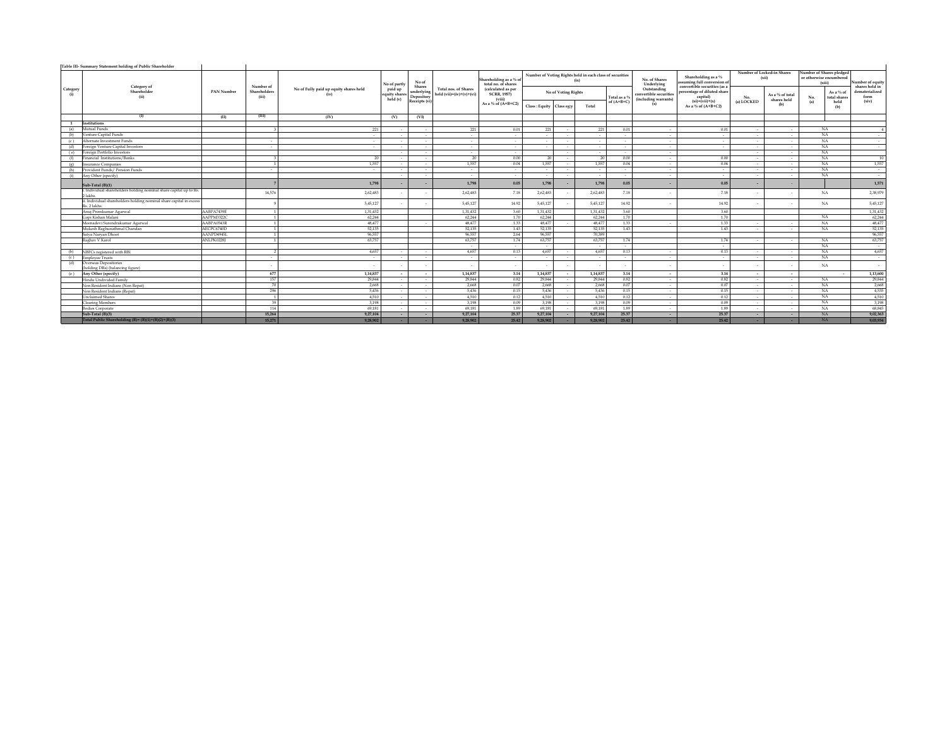|                          | Table III- Summary Statement holding of Public Shareholder                         |            |                       |                                        |                                     |                             |                                                                                                                                                                                     |                                                    |                           |                     |                                                                  |              |                                                               |                                                                                       |                                     |                                |                                                               |                                    |
|--------------------------|------------------------------------------------------------------------------------|------------|-----------------------|----------------------------------------|-------------------------------------|-----------------------------|-------------------------------------------------------------------------------------------------------------------------------------------------------------------------------------|----------------------------------------------------|---------------------------|---------------------|------------------------------------------------------------------|--------------|---------------------------------------------------------------|---------------------------------------------------------------------------------------|-------------------------------------|--------------------------------|---------------------------------------------------------------|------------------------------------|
|                          |                                                                                    |            | Number of             |                                        | No of partly                        | No of<br>Shares             |                                                                                                                                                                                     | Shareholding as a % of<br>total no, of shares      |                           |                     | Number of Voting Rights held in each class of securities<br>f(x) |              | No. of Shares<br>Underlying                                   | Shareholding as a $\%$<br>assuming full conversion of<br>convertible securities (as a | Number of Locked-in Shares<br>(xii) |                                | Number of Shares pledged<br>or otherwise encumbered<br>(xiii) | Number of equity<br>shares held in |
| Category<br>(i)          | Category of<br>Shareholder<br>(ii)                                                 | PAN Number | Shareholders<br>(iii) | No of Fully paid up equity shares held | paid up<br>quity shares<br>held (v) | Depository<br>Receipts (vi) | Total nos, of Shares<br>$\begin{tabular}{c} underlying \end{tabular} \begin{tabular}{ l l } \hline \textbf{underlying} & \textbf{field (vii)=}(iv)+(v)+(vi)\\ \hline \end{tabular}$ | (calculated as per<br><b>SCRR, 1957)</b><br>(viii) |                           | No of Voting Rights |                                                                  | Total as a 9 | Outstanding<br>convertible securities<br>(including warrants) | percentage of diluted share<br>capital)                                               | No.                                 | As a % of total<br>shares held | As a % of<br>total shares<br>No.                              | dematerialized<br>form             |
|                          |                                                                                    |            |                       |                                        |                                     |                             |                                                                                                                                                                                     | As a % of $(A+B+C2)$                               | Class : Equity Class eg:y |                     | Total                                                            | of $(A+B+C)$ | (x)                                                           | $(xi)=(vii)+(x)$<br>As a % of $(A+B+C2)$                                              | (a) LOCKED                          | (b)                            | (a)<br>held<br>(b)                                            | (xiv)                              |
|                          | (1)                                                                                | (II)       | (III)                 | (IV)                                   | (V)                                 | (VI)                        |                                                                                                                                                                                     |                                                    |                           |                     |                                                                  |              |                                                               |                                                                                       |                                     |                                |                                                               |                                    |
| <sup>1</sup>             | Institutions                                                                       |            |                       |                                        |                                     |                             |                                                                                                                                                                                     |                                                    |                           |                     |                                                                  |              |                                                               |                                                                                       |                                     |                                |                                                               |                                    |
| (a)                      | Mutual Funds                                                                       |            |                       | 221                                    |                                     |                             | 221                                                                                                                                                                                 | 0.01                                               | 221                       |                     | 221                                                              | 0.01         |                                                               | 0.01                                                                                  |                                     | $\sim$                         | NA                                                            |                                    |
| (b)                      | Venture Capital Funds                                                              |            |                       | $\sim$                                 |                                     |                             | $\sim$                                                                                                                                                                              |                                                    | $\sim$                    |                     |                                                                  |              |                                                               | $\sim$                                                                                |                                     | $\sim$                         | NA                                                            |                                    |
| (c)                      | Alternate Investment Funds                                                         |            |                       | $\sim$                                 |                                     |                             |                                                                                                                                                                                     |                                                    | $\sim$                    |                     |                                                                  |              |                                                               | $\sim$                                                                                |                                     | $\sim$                         | NA                                                            | $\sim$                             |
| (d)                      | Foreign Venture Capital Investors                                                  |            |                       | $\sim$                                 |                                     |                             | $\sim$                                                                                                                                                                              |                                                    | $\sim$                    |                     |                                                                  |              |                                                               | $\sim$                                                                                |                                     | $\sim$                         | NA                                                            | $\sim$                             |
|                          | (e) Foreign Portfolio Investors                                                    |            |                       |                                        |                                     |                             | $\sim$                                                                                                                                                                              | $\sim$                                             |                           |                     | . .                                                              |              |                                                               |                                                                                       |                                     | $\sim$                         | NA.                                                           |                                    |
| (f)                      | Financial Institutions/Banks                                                       |            |                       | 20                                     |                                     | $\sim$                      | - 20                                                                                                                                                                                | 0.00                                               | 20                        | $\sim$              | 20                                                               | 0.00         | $\sim$                                                        | 0.00                                                                                  | $\sim$                              | $\sim$                         | NA.                                                           | 10                                 |
| $\left( \varrho \right)$ | <b>Insurance Companies</b>                                                         |            | -1.                   | 1.557                                  |                                     | $\sim$                      | 1.557                                                                                                                                                                               | 0.04                                               | 1.557                     |                     | 1.557                                                            | 0.04         | $\sim$                                                        | 0.04                                                                                  | $\sim$                              | $\sim$                         | NA.                                                           | 1,557                              |
| (h)                      | Provident Funds / Pension Funds                                                    |            |                       | $\sim$                                 |                                     |                             |                                                                                                                                                                                     |                                                    | $\sim$                    |                     |                                                                  |              |                                                               | $\sim$                                                                                |                                     | $\sim$                         | <b>NA</b>                                                     | $\sim$                             |
| (i)                      | Any Other (specify)                                                                |            |                       |                                        |                                     |                             | $\sim$                                                                                                                                                                              | $\sim$                                             | $\sim$                    |                     | $\sim$                                                           | $\sim$       |                                                               | $\sim$                                                                                | $\sim$                              | $\sim$                         | NA                                                            | $\sim$                             |
|                          | Sub-Total (B)(1)                                                                   |            |                       | 1,798                                  |                                     |                             | 1.798                                                                                                                                                                               | 0.05                                               | 1,798                     |                     | 1,798                                                            | 0.05         |                                                               | 0.05                                                                                  |                                     | -                              |                                                               | 1,571                              |
|                          | i. Individual shareholders holding nominal share capital up to Rs.<br>2 lakhs.     |            | 14,576                | 2,62,483                               |                                     |                             | 2.62.483                                                                                                                                                                            | 7.18                                               | 2.62.483                  |                     | 2,62,483                                                         | 7.18         |                                                               | 7.18                                                                                  |                                     |                                | NA                                                            | 2,38,979                           |
|                          | ii. Individual shareholders holding nominal share capital in excess<br>Rs. 2 lakhs |            |                       | 5,45,127                               |                                     |                             | 5.45.127                                                                                                                                                                            | 14.92                                              | 5.45.127                  |                     | 5,45,127                                                         | 14.92        |                                                               | 14.92                                                                                 |                                     |                                | NA                                                            | 5,45,127                           |
|                          | Anui Premkumar Agarwal                                                             | AABPA7439E |                       | 1.31.432                               |                                     |                             | 1.31.432                                                                                                                                                                            | 3.60                                               | 1.31.432                  |                     | 1.31.432                                                         | 3.60         |                                                               | 3.60                                                                                  |                                     |                                |                                                               | 1,31,432                           |
|                          | Gopi Kishan Malani                                                                 | AAPPM3322C | $\mathbf{1}$          | 62,244                                 |                                     |                             | 62,244                                                                                                                                                                              | 1.70                                               | 62,244                    |                     | 62,244                                                           | 1.70         |                                                               | 1.70                                                                                  |                                     |                                | NA                                                            | 62,244                             |
|                          | Meenadevi Surendrakumar Agarwal                                                    | AABPA0543R |                       | 48.477                                 |                                     |                             | 48.477                                                                                                                                                                              | 1.33                                               | 48,477                    |                     | 48,477                                                           | 1.33         |                                                               | 1.33                                                                                  |                                     |                                | NA                                                            | 48,477                             |
|                          | Mukesh Raghunathmal Chandan                                                        | AECPC6740D |                       | 52,135                                 |                                     |                             | 52,135                                                                                                                                                                              | 1.43                                               | 52,135                    |                     | 52,135                                                           | 1.43         |                                                               | 1.43                                                                                  | $\sim$                              | $\sim$                         | NA                                                            | 52,135                             |
|                          | Satva Narvan Dhoot                                                                 | AANPD4945L |                       | 96,557                                 |                                     |                             | 96,557                                                                                                                                                                              | 2.64                                               | 96,557                    |                     | 70,389                                                           |              |                                                               |                                                                                       |                                     |                                |                                                               | 96,557                             |
|                          | Raghay V Karol                                                                     | ANLPK02281 |                       | 63,757                                 |                                     |                             | 63,757                                                                                                                                                                              | 1.74                                               | 63,757                    |                     | 63,757                                                           | 1.74         |                                                               | 1.74                                                                                  |                                     |                                | <b>NA</b>                                                     | 63,757                             |
|                          |                                                                                    |            |                       |                                        |                                     |                             | $\sim$                                                                                                                                                                              | $\sim$                                             | $\sim$                    |                     | $\sim$                                                           | $\sim$       |                                                               | $\sim$                                                                                |                                     |                                | NA.                                                           | $\sim$                             |
| (b)                      | NBFCs registered with RBI                                                          |            |                       | 4.657                                  |                                     |                             | 4.657                                                                                                                                                                               | 0.13                                               | 4,657                     |                     | 4.657                                                            | 0.13         |                                                               | 0.13                                                                                  |                                     | $\sim$                         | NA                                                            | 4,657                              |
| (c)                      | <b>Employee Trusts</b>                                                             |            |                       | $\sim$                                 |                                     |                             |                                                                                                                                                                                     |                                                    |                           |                     |                                                                  |              |                                                               | $\sim$                                                                                |                                     |                                | NA                                                            | $\sim$                             |
| (d)                      | Overseas Depositories<br>(holding DRs) (balancing figure)                          |            |                       | $\sim$                                 |                                     |                             |                                                                                                                                                                                     |                                                    |                           |                     |                                                                  |              |                                                               | $\overline{\phantom{a}}$                                                              |                                     |                                | NA                                                            | $\sim$                             |
| (e)                      | Any Other (specify)                                                                |            | 677                   | 1.14.837                               | $\sim$                              | $\sim$                      | 1,14,837                                                                                                                                                                            | 3.14                                               | 1,14,837                  |                     | 1,14,837                                                         | 3.14         | $\overline{\phantom{a}}$                                      | 3.14                                                                                  | $\sim$                              | $\sim$                         | $\sim$                                                        | 1,13,600                           |
|                          | Hindu Undivided Family                                                             |            | 157                   | 29,844                                 |                                     |                             | 29,844                                                                                                                                                                              | 0.82                                               | 29.844                    |                     | 29,844                                                           | 0.82         |                                                               | 0.82                                                                                  |                                     | $\sim$                         | NA                                                            | 29,844                             |
|                          | Non Resident Indians (Non Repat)                                                   |            | 70                    | 2.668                                  |                                     |                             | 2.668                                                                                                                                                                               | 0.07                                               | 2.668                     |                     | 2,668                                                            | 0.07         |                                                               | 0.07                                                                                  |                                     | $\sim$                         | NA                                                            | 2,668                              |
|                          | Non Resident Indians (Repat)                                                       |            | 296                   | 5.436                                  |                                     | $\sim$                      | 5.436                                                                                                                                                                               | 0.15                                               | 5.436                     |                     | 5.436                                                            | 0.15         |                                                               | 0.15                                                                                  |                                     | $\sim$                         | NA                                                            | 4,535                              |
|                          | <b>Unclaimed Shares</b>                                                            |            |                       | 4.510                                  |                                     |                             | 4.510                                                                                                                                                                               | 0.12                                               | 4.510                     |                     | 4.510                                                            | 0.12         |                                                               | 0.12                                                                                  |                                     | $\sim$                         | NA.                                                           | 4,510                              |
|                          | <b>Clearing Members</b>                                                            |            | 39                    | 3.198                                  |                                     | $\sim$                      | 3.198                                                                                                                                                                               | 0.09                                               | 3.198                     |                     | 3.198                                                            | 0.09         | $\sim$                                                        | 0.09                                                                                  |                                     | $\sim$                         | NA.                                                           | 3,198                              |
|                          | <b>Bodies Corporate</b>                                                            |            | 114                   | 69.181                                 |                                     | $\sim$                      | 69,181                                                                                                                                                                              | 1.89                                               | 69,181                    |                     | 69.181                                                           | 1.89         | $\sim$                                                        | 1.89                                                                                  |                                     | $\sim$                         | NA                                                            | 68,845                             |
|                          | Sub-Total (B)(3)                                                                   |            | 15.264                | 9.27.104                               |                                     |                             | 9.27.104                                                                                                                                                                            | 25.37                                              | 9,27,104                  |                     | 9,27,104                                                         | 25.37        |                                                               | 25.37                                                                                 |                                     | $\overline{a}$                 | NA.                                                           | 9,02,363                           |
|                          | Total Public Shareholding (B)= $(B)(1)+(B)(2)+(B)(3)$                              |            | 15.271                | 9.28.902                               |                                     |                             | 9.28.902                                                                                                                                                                            | 25.42                                              | 9.28.902                  |                     | 9.28.902                                                         | 25.42        |                                                               | 25.42                                                                                 |                                     |                                | <b>NA</b>                                                     | 9,03,934                           |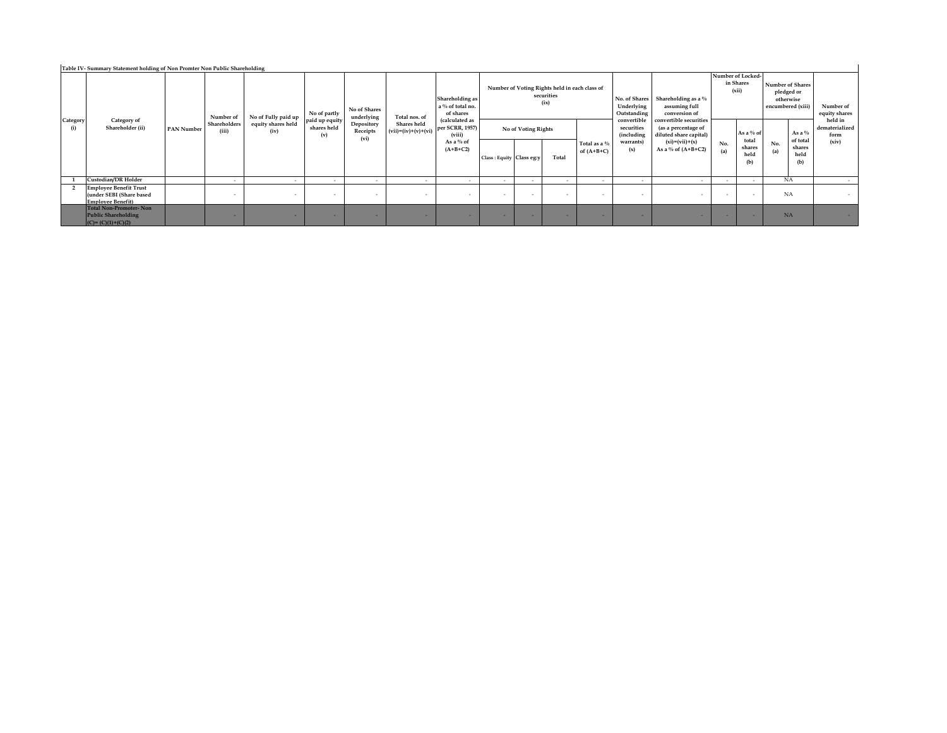| Table IV- Summary Statement holding of Non Promter Non Public Shareholding |                                                                                       |                   |                                    |                                                   |                                                      |                                                              |                                                       |                                                                                                                              |                                                                                            |        |                |                                                                                               |                                                                                                                                  |                                                      |            |                                                                                     |                                                                 |       |
|----------------------------------------------------------------------------|---------------------------------------------------------------------------------------|-------------------|------------------------------------|---------------------------------------------------|------------------------------------------------------|--------------------------------------------------------------|-------------------------------------------------------|------------------------------------------------------------------------------------------------------------------------------|--------------------------------------------------------------------------------------------|--------|----------------|-----------------------------------------------------------------------------------------------|----------------------------------------------------------------------------------------------------------------------------------|------------------------------------------------------|------------|-------------------------------------------------------------------------------------|-----------------------------------------------------------------|-------|
| Category<br>(i)                                                            | Category of<br>Shareholder (ii)                                                       | <b>PAN Number</b> | Number of<br>Shareholders<br>(iii) | No of Fully paid up<br>equity shares held<br>(iv) | No of partly<br>paid up equity<br>shares held<br>(v) | No of Shares<br>underlying<br>Depository<br>Receipts<br>(vi) | Total nos. of<br>Shares held<br>$(vii)=(iv)+(v)+(vi)$ | Shareholding as<br>a % of total no.<br>of shares<br>(calculated as<br>per SCRR, 1957)<br>(viii)<br>As a $%$ of<br>$(A+B+C2)$ | Number of Voting Rights held in each class of<br>securities<br>(ix)<br>No of Voting Rights |        |                | No. of Shares<br>Underlying<br>Outstanding<br>convertible<br>securities<br><i>(including)</i> | Shareholding as a %<br>assuming full<br>conversion of<br>convertible securities<br>(as a percentage of<br>diluted share capital) | Number of Locked-<br>in Shares<br>(xii)<br>As a % of |            | <b>Number of Shares</b><br>pledged or<br>otherwise<br>encumbered (xiii)<br>As a $%$ | Number of<br>equity shares<br>held in<br>dematerialized<br>form |       |
|                                                                            |                                                                                       |                   |                                    |                                                   |                                                      |                                                              |                                                       |                                                                                                                              | Class: Equity Class eg:y                                                                   |        | Total          | Total as a %<br>of $(A+B+C)$                                                                  | warrants)<br>(x)                                                                                                                 | $(xi)=(vii)+(x)$<br>As a % of $(A+B+C2)$             | No.<br>(a) | total<br>shares<br>held<br>(b)                                                      | of total<br>No.<br>shares<br>(a)<br>held<br>(b)                 | (xiv) |
|                                                                            | Custodian/DR Holder                                                                   |                   |                                    | $\overline{\phantom{a}}$                          | $\sim$                                               | $\overline{\phantom{a}}$                                     | $\overline{\phantom{a}}$                              | $\sim$                                                                                                                       | $\sim$                                                                                     | $\sim$ | $\sim$         | $\overline{a}$                                                                                | . .                                                                                                                              | $\sim$                                               |            | $\sim$                                                                              | NA                                                              |       |
|                                                                            | <b>Employee Benefit Trust</b><br>(under SEBI (Share based<br><b>Employee Benefit)</b> |                   | $\overline{a}$                     | $\overline{\phantom{a}}$                          | $\sim$                                               | $\overline{\phantom{a}}$                                     | $\overline{\phantom{a}}$                              | $\sim$                                                                                                                       | $\overline{\phantom{a}}$                                                                   | $\sim$ | $\overline{a}$ | $\overline{a}$                                                                                | . .                                                                                                                              | $\overline{\phantom{a}}$                             |            |                                                                                     | NA                                                              |       |
|                                                                            | Total Non-Promoter-Non<br><b>Public Shareholding</b><br>$(C) = (C)(1)+(C)(2)$         |                   |                                    |                                                   |                                                      |                                                              |                                                       |                                                                                                                              |                                                                                            |        |                |                                                                                               |                                                                                                                                  | . .                                                  |            |                                                                                     | <b>NA</b>                                                       |       |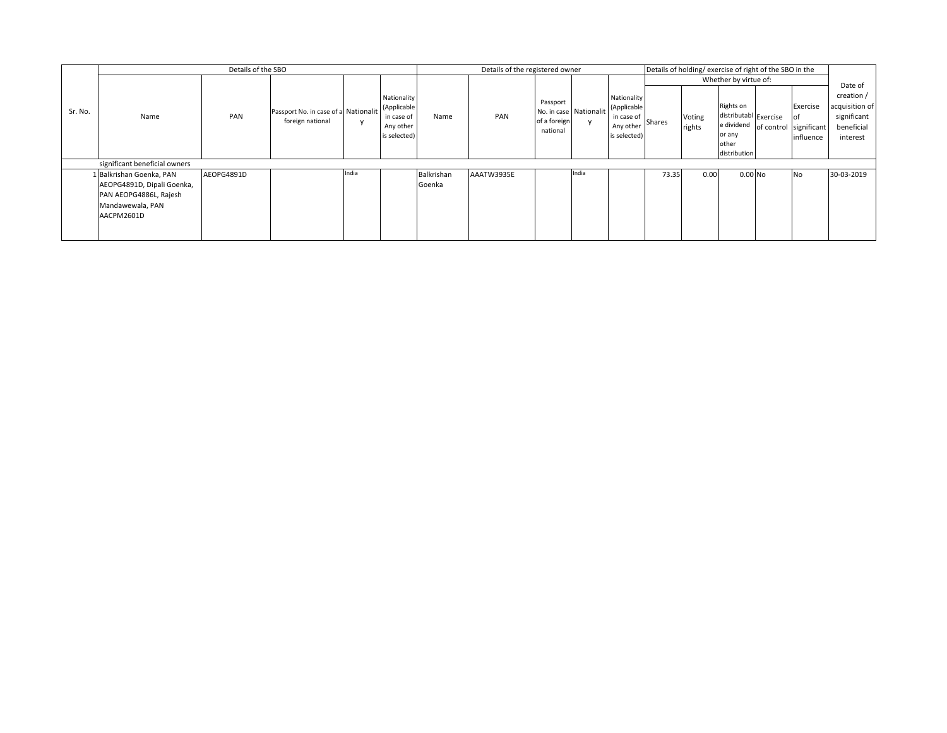|         | Details of the SBO            |            |                                                          |       |                                                                       |            | Details of the registered owner<br>Details of holding/exercise of right of the SBO in the |                                                                |       |                                                                       |                       |                  |                                                                       |  |                                                                   |                                                                       |
|---------|-------------------------------|------------|----------------------------------------------------------|-------|-----------------------------------------------------------------------|------------|-------------------------------------------------------------------------------------------|----------------------------------------------------------------|-------|-----------------------------------------------------------------------|-----------------------|------------------|-----------------------------------------------------------------------|--|-------------------------------------------------------------------|-----------------------------------------------------------------------|
|         |                               |            |                                                          |       |                                                                       |            |                                                                                           |                                                                |       |                                                                       | Whether by virtue of: |                  |                                                                       |  |                                                                   | Date of                                                               |
| Sr. No. | Name                          | PAN        | Passport No. in case of a Nationalit<br>foreign national |       | Nationality<br>(Applicable<br>in case of<br>Any other<br>is selected) | Name       | PAN                                                                                       | Passport<br>No. in case Nationalit<br>of a foreign<br>national |       | Nationality<br>(Applicable<br>in case of<br>Any other<br>is selected) | <b>Shares</b>         | Voting<br>rights | Rights on<br>distributabl Exercise<br>or any<br>other<br>distribution |  | Exercise<br>lof<br>e dividend of control significant<br>influence | creation /<br>acquisition of<br>significant<br>beneficial<br>interest |
|         | significant beneficial owners |            |                                                          |       |                                                                       |            |                                                                                           |                                                                |       |                                                                       |                       |                  |                                                                       |  |                                                                   |                                                                       |
|         | 1 Balkrishan Goenka, PAN      | AEOPG4891D |                                                          | India |                                                                       | Balkrishan | AAATW3935E                                                                                |                                                                | India |                                                                       | 73.35                 | 0.00             | $0.00$ No                                                             |  | <b>No</b>                                                         | 30-03-2019                                                            |
|         | AEOPG4891D, Dipali Goenka,    |            |                                                          |       |                                                                       | Goenka     |                                                                                           |                                                                |       |                                                                       |                       |                  |                                                                       |  |                                                                   |                                                                       |
|         | PAN AEOPG4886L, Rajesh        |            |                                                          |       |                                                                       |            |                                                                                           |                                                                |       |                                                                       |                       |                  |                                                                       |  |                                                                   |                                                                       |
|         | Mandawewala, PAN              |            |                                                          |       |                                                                       |            |                                                                                           |                                                                |       |                                                                       |                       |                  |                                                                       |  |                                                                   |                                                                       |
|         | AACPM2601D                    |            |                                                          |       |                                                                       |            |                                                                                           |                                                                |       |                                                                       |                       |                  |                                                                       |  |                                                                   |                                                                       |
|         |                               |            |                                                          |       |                                                                       |            |                                                                                           |                                                                |       |                                                                       |                       |                  |                                                                       |  |                                                                   |                                                                       |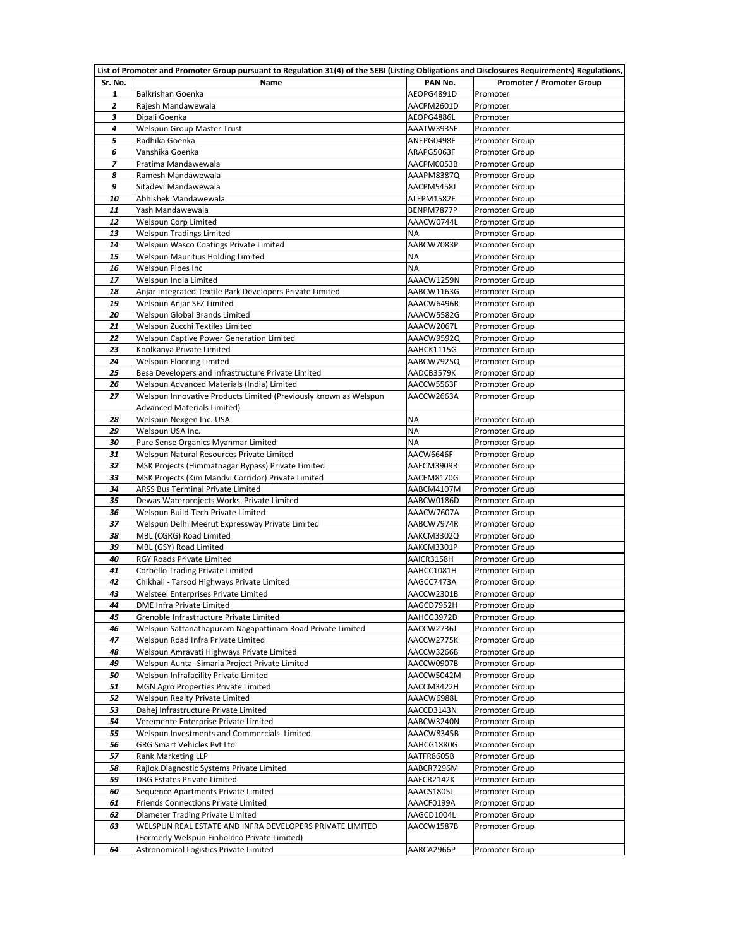|                | List of Promoter and Promoter Group pursuant to Regulation 31(4) of the SEBI (Listing Obligations and Disclosures Requirements) Regulations, |                          |                                                |
|----------------|----------------------------------------------------------------------------------------------------------------------------------------------|--------------------------|------------------------------------------------|
| Sr. No.        | Name                                                                                                                                         | PAN No.                  | <b>Promoter / Promoter Group</b>               |
| $\mathbf{1}$   | Balkrishan Goenka                                                                                                                            | AEOPG4891D               | Promoter                                       |
| 2              | Rajesh Mandawewala                                                                                                                           | AACPM2601D               | Promoter                                       |
| 3              | Dipali Goenka                                                                                                                                | AEOPG4886L               | Promoter                                       |
| 4              | Welspun Group Master Trust                                                                                                                   | AAATW3935E               | Promoter                                       |
| 5              | Radhika Goenka                                                                                                                               | ANEPG0498F               | <b>Promoter Group</b>                          |
| 6              | Vanshika Goenka                                                                                                                              | ARAPG5063F               | <b>Promoter Group</b>                          |
| $\overline{z}$ | Pratima Mandawewala                                                                                                                          | AACPM0053B               | Promoter Group                                 |
| 8              | Ramesh Mandawewala                                                                                                                           | AAAPM8387Q               | <b>Promoter Group</b>                          |
| 9              | Sitadevi Mandawewala                                                                                                                         | AACPM5458J               | <b>Promoter Group</b>                          |
| 10             | Abhishek Mandawewala                                                                                                                         | ALEPM1582E               | <b>Promoter Group</b>                          |
| 11             | Yash Mandawewala                                                                                                                             | BENPM7877P               | Promoter Group                                 |
| 12             | Welspun Corp Limited                                                                                                                         | AAACW0744L               | <b>Promoter Group</b>                          |
| 13             | Welspun Tradings Limited                                                                                                                     | <b>NA</b>                | <b>Promoter Group</b>                          |
| 14             | Welspun Wasco Coatings Private Limited                                                                                                       | AABCW7083P               | <b>Promoter Group</b>                          |
| 15             | Welspun Mauritius Holding Limited                                                                                                            | NA                       | <b>Promoter Group</b>                          |
| 16             | Welspun Pipes Inc                                                                                                                            | <b>NA</b>                | <b>Promoter Group</b>                          |
| 17             | Welspun India Limited                                                                                                                        | AAACW1259N               | <b>Promoter Group</b>                          |
| 18             | Anjar Integrated Textile Park Developers Private Limited                                                                                     | AABCW1163G               | <b>Promoter Group</b>                          |
| 19             | Welspun Anjar SEZ Limited                                                                                                                    | AAACW6496R               | <b>Promoter Group</b>                          |
| 20             | Welspun Global Brands Limited                                                                                                                | AAACW5582G               | <b>Promoter Group</b>                          |
| 21             | Welspun Zucchi Textiles Limited                                                                                                              | AAACW2067L               | <b>Promoter Group</b>                          |
| 22             | Welspun Captive Power Generation Limited                                                                                                     | AAACW9592Q               | <b>Promoter Group</b>                          |
| 23             | Koolkanya Private Limited                                                                                                                    | AAHCK1115G               | <b>Promoter Group</b>                          |
| 24             | Welspun Flooring Limited                                                                                                                     | AABCW7925Q               | <b>Promoter Group</b>                          |
| 25             | Besa Developers and Infrastructure Private Limited                                                                                           | AADCB3579K               | <b>Promoter Group</b>                          |
| 26             | Welspun Advanced Materials (India) Limited                                                                                                   | AACCW5563F               | Promoter Group                                 |
| 27             | Welspun Innovative Products Limited (Previously known as Welspun                                                                             | AACCW2663A               | <b>Promoter Group</b>                          |
|                | <b>Advanced Materials Limited)</b>                                                                                                           |                          |                                                |
| 28             | Welspun Nexgen Inc. USA                                                                                                                      | NA                       | <b>Promoter Group</b>                          |
| 29             | Welspun USA Inc.                                                                                                                             | <b>NA</b>                | <b>Promoter Group</b>                          |
| 30             | Pure Sense Organics Myanmar Limited                                                                                                          | <b>NA</b>                | <b>Promoter Group</b>                          |
| 31             | Welspun Natural Resources Private Limited                                                                                                    | AACW6646F                | Promoter Group                                 |
| 32             | MSK Projects (Himmatnagar Bypass) Private Limited                                                                                            | AAECM3909R               | <b>Promoter Group</b>                          |
| 33             | MSK Projects (Kim Mandvi Corridor) Private Limited                                                                                           | AACEM8170G               | <b>Promoter Group</b>                          |
| 34             | ARSS Bus Terminal Private Limited                                                                                                            | AABCM4107M               | <b>Promoter Group</b>                          |
| 35             | Dewas Waterprojects Works Private Limited                                                                                                    | AABCW0186D               | <b>Promoter Group</b>                          |
| 36             | Welspun Build-Tech Private Limited                                                                                                           | AAACW7607A               | <b>Promoter Group</b>                          |
| 37             | Welspun Delhi Meerut Expressway Private Limited                                                                                              | AABCW7974R               | <b>Promoter Group</b>                          |
| 38             | MBL (CGRG) Road Limited                                                                                                                      | AAKCM3302Q               | <b>Promoter Group</b>                          |
| 39<br>40       | MBL (GSY) Road Limited<br>RGY Roads Private Limited                                                                                          | AAKCM3301P               | <b>Promoter Group</b>                          |
| 41             | Corbello Trading Private Limited                                                                                                             | AAICR3158H<br>AAHCC1081H | <b>Promoter Group</b><br><b>Promoter Group</b> |
| 42             | Chikhali - Tarsod Highways Private Limited                                                                                                   | AAGCC7473A               | <b>Promoter Group</b>                          |
| 43             | Welsteel Enterprises Private Limited                                                                                                         | AACCW2301B               | <b>Promoter Group</b>                          |
| 44             | DME Infra Private Limited                                                                                                                    | AAGCD7952H               | <b>Promoter Group</b>                          |
| 45             | Grenoble Infrastructure Private Limited                                                                                                      | AAHCG3972D               | <b>Promoter Group</b>                          |
| 46             | Welspun Sattanathapuram Nagapattinam Road Private Limited                                                                                    | AACCW2736J               | <b>Promoter Group</b>                          |
| 47             | Welspun Road Infra Private Limited                                                                                                           | AACCW2775K               | <b>Promoter Group</b>                          |
| 48             | Welspun Amravati Highways Private Limited                                                                                                    | AACCW3266B               | <b>Promoter Group</b>                          |
| 49             | Welspun Aunta- Simaria Project Private Limited                                                                                               | AACCW0907B               | <b>Promoter Group</b>                          |
| 50             | Welspun Infrafacility Private Limited                                                                                                        | AACCW5042M               | <b>Promoter Group</b>                          |
| 51             | MGN Agro Properties Private Limited                                                                                                          | AACCM3422H               | <b>Promoter Group</b>                          |
| 52             | Welspun Realty Private Limited                                                                                                               | AAACW6988L               | <b>Promoter Group</b>                          |
| 53             | Dahej Infrastructure Private Limited                                                                                                         | AACCD3143N               | <b>Promoter Group</b>                          |
| 54             | Veremente Enterprise Private Limited                                                                                                         | AABCW3240N               | <b>Promoter Group</b>                          |
| 55             | Welspun Investments and Commercials Limited                                                                                                  | AAACW8345B               | <b>Promoter Group</b>                          |
| 56             | GRG Smart Vehicles Pvt Ltd                                                                                                                   | AAHCG1880G               | Promoter Group                                 |
| 57             | Rank Marketing LLP                                                                                                                           | AATFR8605B               | <b>Promoter Group</b>                          |
| 58             | Rajlok Diagnostic Systems Private Limited                                                                                                    | AABCR7296M               | Promoter Group                                 |
| 59             | <b>DBG Estates Private Limited</b>                                                                                                           | AAECR2142K               | Promoter Group                                 |
| 60             | Sequence Apartments Private Limited                                                                                                          | AAACS1805J               | <b>Promoter Group</b>                          |
| 61             | Friends Connections Private Limited                                                                                                          | AAACF0199A               | <b>Promoter Group</b>                          |
| 62             | Diameter Trading Private Limited                                                                                                             | AAGCD1004L               | <b>Promoter Group</b>                          |
| 63             | WELSPUN REAL ESTATE AND INFRA DEVELOPERS PRIVATE LIMITED                                                                                     | AACCW1587B               | <b>Promoter Group</b>                          |
|                | (Formerly Welspun Finholdco Private Limited)                                                                                                 |                          |                                                |
| 64             | Astronomical Logistics Private Limited                                                                                                       | AARCA2966P               | <b>Promoter Group</b>                          |
|                |                                                                                                                                              |                          |                                                |